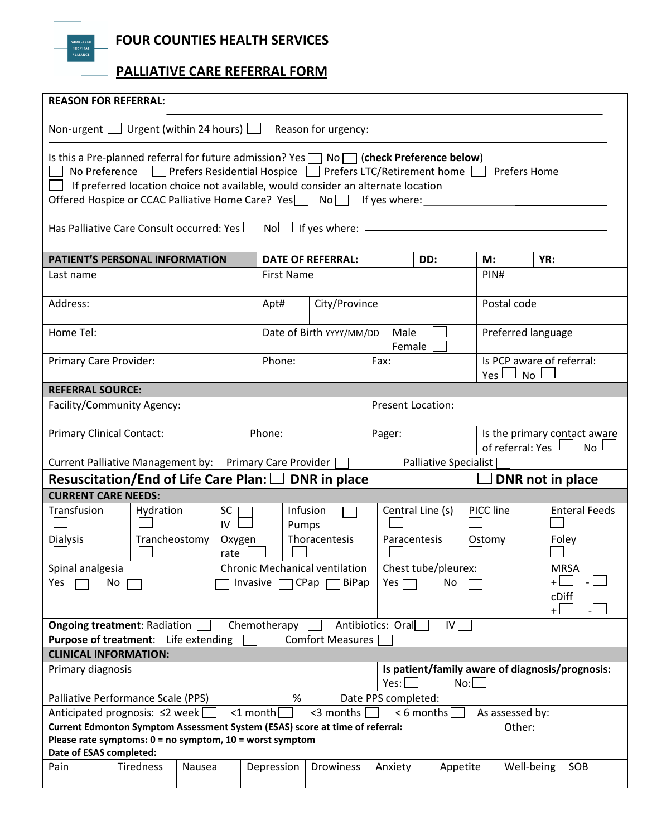**FOUR COUNTIES HEALTH SERVICES** 

 **PALLIATIVE CARE REFERRAL FORM**

| <b>REASON FOR REFERRAL:</b>                                                                                                                                                                                                                                                                                                                                               |                  |                 |                          |                          |                     |           |                                                                 |             |              |                                                 |  |  |
|---------------------------------------------------------------------------------------------------------------------------------------------------------------------------------------------------------------------------------------------------------------------------------------------------------------------------------------------------------------------------|------------------|-----------------|--------------------------|--------------------------|---------------------|-----------|-----------------------------------------------------------------|-------------|--------------|-------------------------------------------------|--|--|
| Non-urgent $\Box$ Urgent (within 24 hours) $\Box$ Reason for urgency:                                                                                                                                                                                                                                                                                                     |                  |                 |                          |                          |                     |           |                                                                 |             |              |                                                 |  |  |
| Is this a Pre-planned referral for future admission? Yes $\Box$ No $\Box$ (check Preference below)<br>□ Prefers Residential Hospice □ Prefers LTC/Retirement home □ Prefers Home<br>No Preference<br>$\Box$ If preferred location choice not available, would consider an alternate location<br>Offered Hospice or CCAC Palliative Home Care? Yes Nonelland If yes where: |                  |                 |                          |                          |                     |           |                                                                 |             |              |                                                 |  |  |
| Has Palliative Care Consult occurred: Yes   Nol   If yes where: ________________                                                                                                                                                                                                                                                                                          |                  |                 |                          |                          |                     |           |                                                                 |             |              |                                                 |  |  |
| PATIENT'S PERSONAL INFORMATION                                                                                                                                                                                                                                                                                                                                            |                  |                 |                          | <b>DATE OF REFERRAL:</b> |                     |           | DD:                                                             | M:          | YR:          |                                                 |  |  |
| Last name                                                                                                                                                                                                                                                                                                                                                                 |                  |                 |                          | <b>First Name</b>        |                     |           |                                                                 | PIN#        |              |                                                 |  |  |
| Address:                                                                                                                                                                                                                                                                                                                                                                  |                  |                 |                          | City/Province<br>Apt#    |                     |           |                                                                 | Postal code |              |                                                 |  |  |
| Home Tel:                                                                                                                                                                                                                                                                                                                                                                 |                  |                 | Date of Birth YYYY/MM/DD |                          |                     |           | Preferred language                                              |             |              |                                                 |  |  |
| Primary Care Provider:                                                                                                                                                                                                                                                                                                                                                    |                  | Phone:          |                          |                          |                     |           | Is PCP aware of referral:<br>No<br>Yes l                        |             |              |                                                 |  |  |
| <b>REFERRAL SOURCE:</b>                                                                                                                                                                                                                                                                                                                                                   |                  |                 |                          |                          |                     |           |                                                                 |             |              |                                                 |  |  |
| Facility/Community Agency:                                                                                                                                                                                                                                                                                                                                                |                  |                 |                          | Present Location:        |                     |           |                                                                 |             |              |                                                 |  |  |
| <b>Primary Clinical Contact:</b>                                                                                                                                                                                                                                                                                                                                          |                  | Phone:          |                          |                          | Pager:              |           | Is the primary contact aware<br>of referral: Yes l<br><b>No</b> |             |              |                                                 |  |  |
| Current Palliative Management by: Primary Care Provider [<br>Palliative Specialist                                                                                                                                                                                                                                                                                        |                  |                 |                          |                          |                     |           |                                                                 |             |              |                                                 |  |  |
| Resuscitation/End of Life Care Plan: $\Box$ DNR in place<br>DNR not in place                                                                                                                                                                                                                                                                                              |                  |                 |                          |                          |                     |           |                                                                 |             |              |                                                 |  |  |
| <b>CURRENT CARE NEEDS:</b>                                                                                                                                                                                                                                                                                                                                                |                  |                 |                          |                          |                     |           |                                                                 |             |              |                                                 |  |  |
| Transfusion                                                                                                                                                                                                                                                                                                                                                               | Hydration        | <b>SC</b><br>IV |                          | Infusion<br>Pumps        | Central Line (s)    |           |                                                                 | PICC line   |              | <b>Enteral Feeds</b>                            |  |  |
| <b>Dialysis</b>                                                                                                                                                                                                                                                                                                                                                           | Trancheostomy    | Oxygen<br>rate  |                          | Thoracentesis            | Paracentesis        |           |                                                                 | Ostomy      |              | Foley                                           |  |  |
| Chest tube/pleurex:<br>Spinal analgesia<br>Chronic Mechanical ventilation<br><b>MRSA</b>                                                                                                                                                                                                                                                                                  |                  |                 |                          |                          |                     |           |                                                                 |             |              |                                                 |  |  |
| Yes                                                                                                                                                                                                                                                                                                                                                                       | No               | Invasive        | CPap [<br>BiPap          |                          |                     | No<br>Yes |                                                                 |             |              |                                                 |  |  |
|                                                                                                                                                                                                                                                                                                                                                                           |                  |                 |                          |                          |                     |           |                                                                 |             | cDiff<br>$+$ |                                                 |  |  |
| <b>Ongoing treatment: Radiation</b><br>Purpose of treatment: Life extending                                                                                                                                                                                                                                                                                               |                  |                 | Chemotherapy             | <b>Comfort Measures</b>  | Antibiotics: Oral   |           | IV                                                              |             |              |                                                 |  |  |
| <b>CLINICAL INFORMATION:</b>                                                                                                                                                                                                                                                                                                                                              |                  |                 |                          |                          |                     |           |                                                                 |             |              |                                                 |  |  |
| Primary diagnosis                                                                                                                                                                                                                                                                                                                                                         |                  |                 |                          |                          | Yes:                |           | No:                                                             |             |              | Is patient/family aware of diagnosis/prognosis: |  |  |
| Palliative Performance Scale (PPS)                                                                                                                                                                                                                                                                                                                                        |                  |                 | %                        |                          | Date PPS completed: |           |                                                                 |             |              |                                                 |  |  |
| <3 months<br>Anticipated prognosis: ≤2 week<br><1 month<br>$< 6$ months<br>As assessed by:                                                                                                                                                                                                                                                                                |                  |                 |                          |                          |                     |           |                                                                 |             |              |                                                 |  |  |
| Current Edmonton Symptom Assessment System (ESAS) score at time of referral:<br>Other:                                                                                                                                                                                                                                                                                    |                  |                 |                          |                          |                     |           |                                                                 |             |              |                                                 |  |  |
| Please rate symptoms: $0 = no$ symptom, $10 =$ worst symptom<br>Date of ESAS completed:                                                                                                                                                                                                                                                                                   |                  |                 |                          |                          |                     |           |                                                                 |             |              |                                                 |  |  |
| Pain                                                                                                                                                                                                                                                                                                                                                                      | <b>Tiredness</b> | Nausea          | Depression               | Drowiness                | Anxiety             |           | Appetite                                                        |             | Well-being   | SOB                                             |  |  |